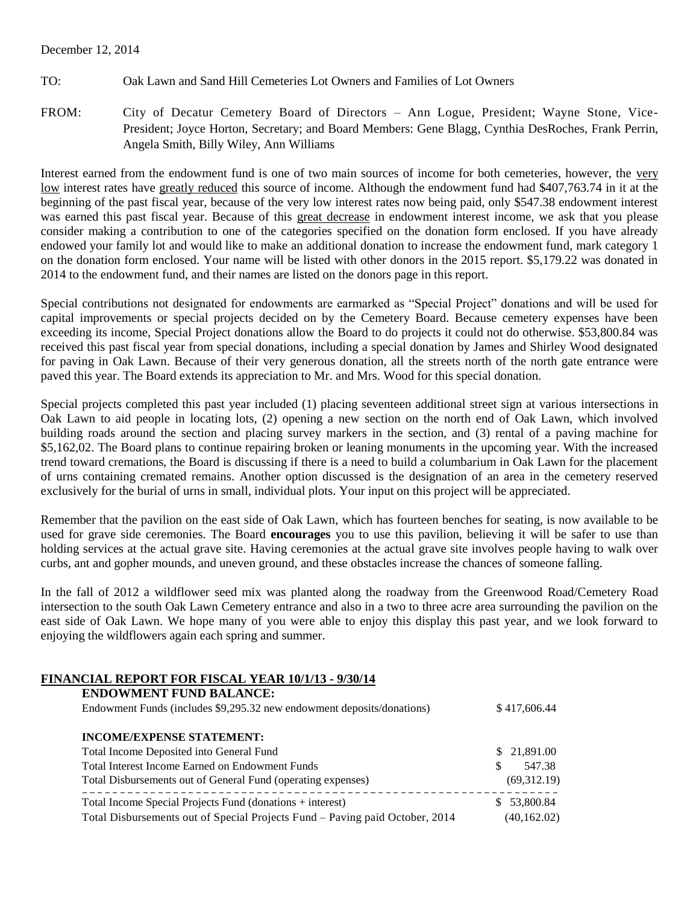### December 12, 2014

- TO: Oak Lawn and Sand Hill Cemeteries Lot Owners and Families of Lot Owners
- FROM: City of Decatur Cemetery Board of Directors Ann Logue, President; Wayne Stone, Vice-President; Joyce Horton, Secretary; and Board Members: Gene Blagg, Cynthia DesRoches, Frank Perrin, Angela Smith, Billy Wiley, Ann Williams

Interest earned from the endowment fund is one of two main sources of income for both cemeteries, however, the very low interest rates have greatly reduced this source of income. Although the endowment fund had \$407,763.74 in it at the beginning of the past fiscal year, because of the very low interest rates now being paid, only \$547.38 endowment interest was earned this past fiscal year. Because of this great decrease in endowment interest income, we ask that you please consider making a contribution to one of the categories specified on the donation form enclosed. If you have already endowed your family lot and would like to make an additional donation to increase the endowment fund, mark category 1 on the donation form enclosed. Your name will be listed with other donors in the 2015 report. \$5,179.22 was donated in 2014 to the endowment fund, and their names are listed on the donors page in this report.

Special contributions not designated for endowments are earmarked as "Special Project" donations and will be used for capital improvements or special projects decided on by the Cemetery Board. Because cemetery expenses have been exceeding its income, Special Project donations allow the Board to do projects it could not do otherwise. \$53,800.84 was received this past fiscal year from special donations, including a special donation by James and Shirley Wood designated for paving in Oak Lawn. Because of their very generous donation, all the streets north of the north gate entrance were paved this year. The Board extends its appreciation to Mr. and Mrs. Wood for this special donation.

Special projects completed this past year included (1) placing seventeen additional street sign at various intersections in Oak Lawn to aid people in locating lots, (2) opening a new section on the north end of Oak Lawn, which involved building roads around the section and placing survey markers in the section, and (3) rental of a paving machine for \$5,162,02. The Board plans to continue repairing broken or leaning monuments in the upcoming year. With the increased trend toward cremations, the Board is discussing if there is a need to build a columbarium in Oak Lawn for the placement of urns containing cremated remains. Another option discussed is the designation of an area in the cemetery reserved exclusively for the burial of urns in small, individual plots. Your input on this project will be appreciated.

Remember that the pavilion on the east side of Oak Lawn, which has fourteen benches for seating, is now available to be used for grave side ceremonies. The Board **encourages** you to use this pavilion, believing it will be safer to use than holding services at the actual grave site. Having ceremonies at the actual grave site involves people having to walk over curbs, ant and gopher mounds, and uneven ground, and these obstacles increase the chances of someone falling.

In the fall of 2012 a wildflower seed mix was planted along the roadway from the Greenwood Road/Cemetery Road intersection to the south Oak Lawn Cemetery entrance and also in a two to three acre area surrounding the pavilion on the east side of Oak Lawn. We hope many of you were able to enjoy this display this past year, and we look forward to enjoying the wildflowers again each spring and summer.

# **FINANCIAL REPORT FOR FISCAL YEAR 10/1/13 - 9/30/14**

| <b>ENDOWMENT FUND BALANCE:</b>                                               |                  |  |
|------------------------------------------------------------------------------|------------------|--|
| Endowment Funds (includes \$9,295.32 new endowment deposits/donations)       | \$417,606.44     |  |
| <b>INCOME/EXPENSE STATEMENT:</b>                                             |                  |  |
| Total Income Deposited into General Fund                                     | \$21,891.00      |  |
| Total Interest Income Earned on Endowment Funds                              | 547.38<br>S      |  |
| (69,312,19)<br>Total Disbursements out of General Fund (operating expenses)  |                  |  |
| Total Income Special Projects Fund (donations + interest)                    | 53,800.84<br>SS. |  |
| Total Disbursements out of Special Projects Fund - Paving paid October, 2014 | (40, 162.02)     |  |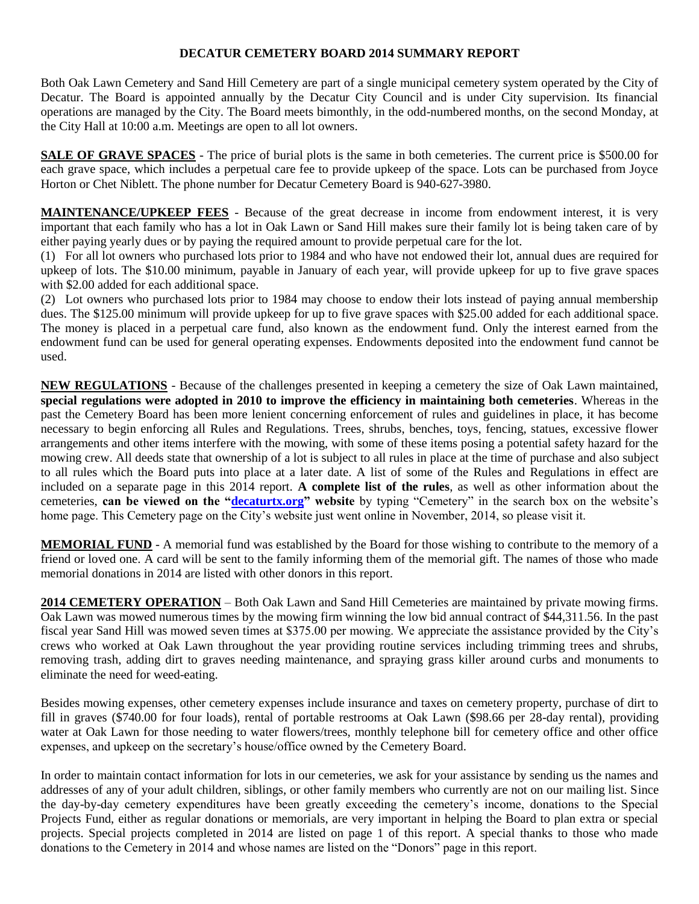## **DECATUR CEMETERY BOARD 2014 SUMMARY REPORT**

Both Oak Lawn Cemetery and Sand Hill Cemetery are part of a single municipal cemetery system operated by the City of Decatur. The Board is appointed annually by the Decatur City Council and is under City supervision. Its financial operations are managed by the City. The Board meets bimonthly, in the odd-numbered months, on the second Monday, at the City Hall at 10:00 a.m. Meetings are open to all lot owners.

**SALE OF GRAVE SPACES** - The price of burial plots is the same in both cemeteries. The current price is \$500.00 for each grave space, which includes a perpetual care fee to provide upkeep of the space. Lots can be purchased from Joyce Horton or Chet Niblett. The phone number for Decatur Cemetery Board is 940-627-3980.

**MAINTENANCE/UPKEEP FEES** - Because of the great decrease in income from endowment interest, it is very important that each family who has a lot in Oak Lawn or Sand Hill makes sure their family lot is being taken care of by either paying yearly dues or by paying the required amount to provide perpetual care for the lot.

(1) For all lot owners who purchased lots prior to 1984 and who have not endowed their lot, annual dues are required for upkeep of lots. The \$10.00 minimum, payable in January of each year, will provide upkeep for up to five grave spaces with \$2.00 added for each additional space.

(2) Lot owners who purchased lots prior to 1984 may choose to endow their lots instead of paying annual membership dues. The \$125.00 minimum will provide upkeep for up to five grave spaces with \$25.00 added for each additional space. The money is placed in a perpetual care fund, also known as the endowment fund. Only the interest earned from the endowment fund can be used for general operating expenses. Endowments deposited into the endowment fund cannot be used.

**NEW REGULATIONS** - Because of the challenges presented in keeping a cemetery the size of Oak Lawn maintained, **special regulations were adopted in 2010 to improve the efficiency in maintaining both cemeteries**. Whereas in the past the Cemetery Board has been more lenient concerning enforcement of rules and guidelines in place, it has become necessary to begin enforcing all Rules and Regulations. Trees, shrubs, benches, toys, fencing, statues, excessive flower arrangements and other items interfere with the mowing, with some of these items posing a potential safety hazard for the mowing crew. All deeds state that ownership of a lot is subject to all rules in place at the time of purchase and also subject to all rules which the Board puts into place at a later date. A list of some of the Rules and Regulations in effect are included on a separate page in this 2014 report. **A complete list of the rules**, as well as other information about the cemeteries, **can be viewed on the ["decaturtx.org"](http://decaturtx.org/) website** by typing "Cemetery" in the search box on the website's home page. This Cemetery page on the City's website just went online in November, 2014, so please visit it.

**MEMORIAL FUND** - A memorial fund was established by the Board for those wishing to contribute to the memory of a friend or loved one. A card will be sent to the family informing them of the memorial gift. The names of those who made memorial donations in 2014 are listed with other donors in this report.

**2014 CEMETERY OPERATION** – Both Oak Lawn and Sand Hill Cemeteries are maintained by private mowing firms. Oak Lawn was mowed numerous times by the mowing firm winning the low bid annual contract of \$44,311.56. In the past fiscal year Sand Hill was mowed seven times at \$375.00 per mowing. We appreciate the assistance provided by the City's crews who worked at Oak Lawn throughout the year providing routine services including trimming trees and shrubs, removing trash, adding dirt to graves needing maintenance, and spraying grass killer around curbs and monuments to eliminate the need for weed-eating.

Besides mowing expenses, other cemetery expenses include insurance and taxes on cemetery property, purchase of dirt to fill in graves (\$740.00 for four loads), rental of portable restrooms at Oak Lawn (\$98.66 per 28-day rental), providing water at Oak Lawn for those needing to water flowers/trees, monthly telephone bill for cemetery office and other office expenses, and upkeep on the secretary's house/office owned by the Cemetery Board.

In order to maintain contact information for lots in our cemeteries, we ask for your assistance by sending us the names and addresses of any of your adult children, siblings, or other family members who currently are not on our mailing list. Since the day-by-day cemetery expenditures have been greatly exceeding the cemetery's income, donations to the Special Projects Fund, either as regular donations or memorials, are very important in helping the Board to plan extra or special projects. Special projects completed in 2014 are listed on page 1 of this report. A special thanks to those who made donations to the Cemetery in 2014 and whose names are listed on the "Donors" page in this report.